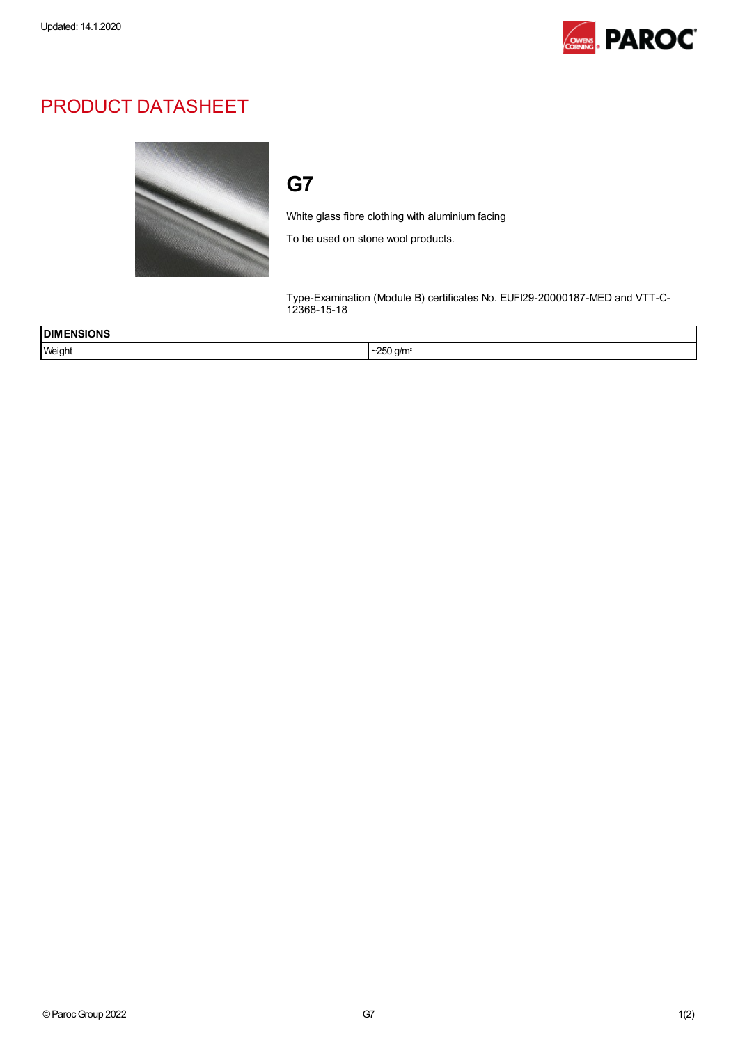

## PRODUCT DATASHEET



## G7

White glass fibre clothing with aluminium facing

To be used on stone wool products.

Type-Examination (Module B) certificates No. EUFI29-20000187-MED and VTT-C-12368-15-18

| <b>DIMENSIONS</b><br>_____ |                                             |
|----------------------------|---------------------------------------------|
| Weight                     | $\sim$<br>) a/m<br>.<br>້ົ<br>$\cdot$<br>__ |